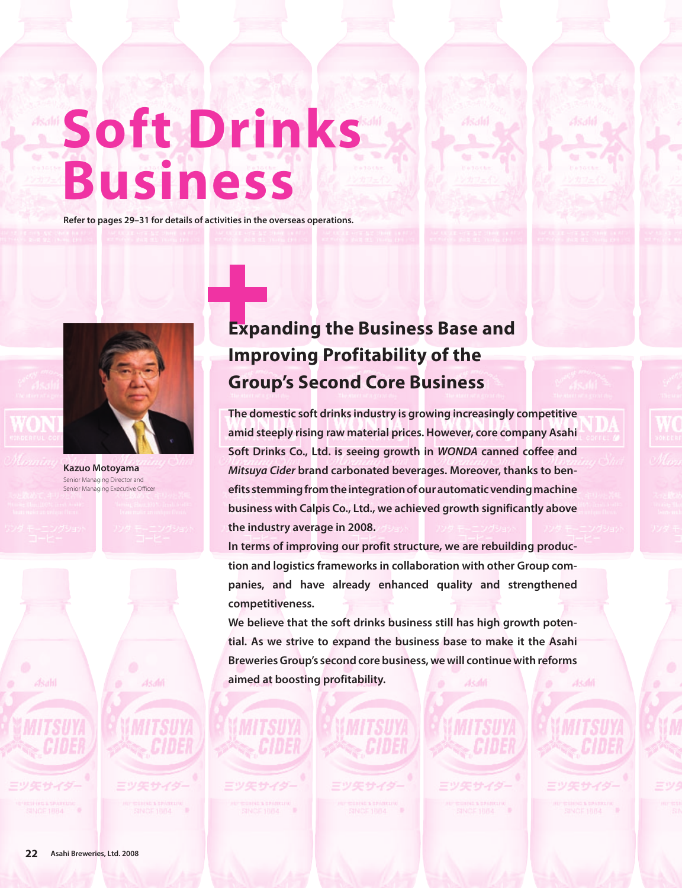# **Soft Drinks Business**

**Refer to pages 29–31 for details of activities in the overseas operations.**



**Kazuo Motoyama** Senior Managing Director and Senior Managing Executive Officer

**Expanding the Business Base and Improving Profitability of the Group's Second Core Business**

**The domestic soft drinks industry is growing increasingly competitive amid steeply rising raw material prices. However, core company Asahi Soft Drinks Co., Ltd. is seeing growth in** *WONDA* **canned coffee and**  *Mitsuya Cider* **brand carbonated beverages. Moreover, thanks to benefits stemming from the integration of our automatic vending machine business with Calpis Co., Ltd., we achieved growth significantly above the industry average in 2008.**

**In terms of improving our profit structure, we are rebuilding production and logistics frameworks in collaboration with other Group companies, and have already enhanced quality and strengthened competitiveness.**

**We believe that the soft drinks business still has high growth potential. As we strive to expand the business base to make it the Asahi Breweries Group's second core business, we will continue with reforms aimed at boosting profitability.**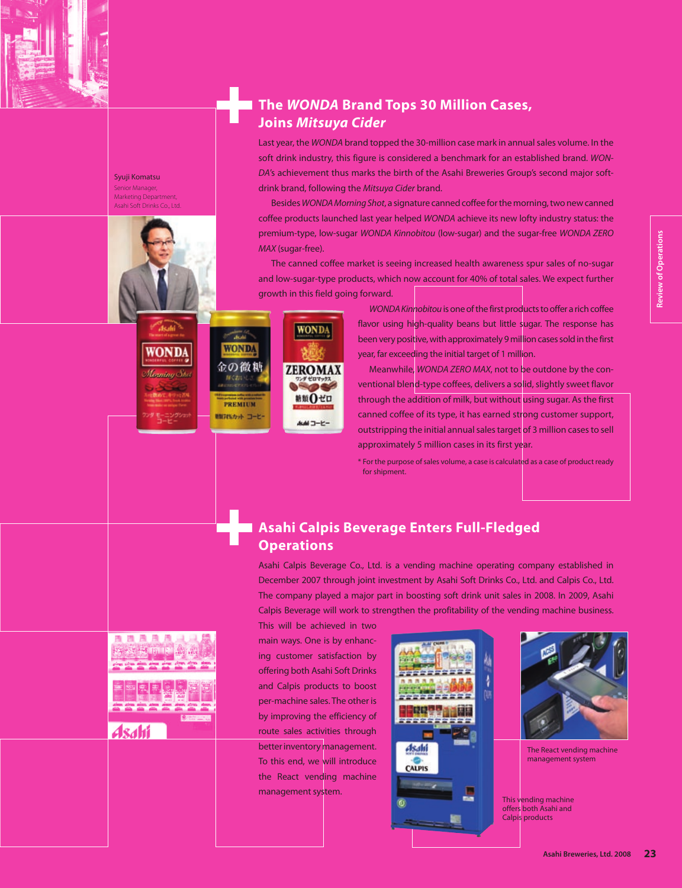

Syuji Komatsu Senior Manager, Marketing Department, Asahi Soft Drinks Co., Ltd.

ONDA

**WOND** 

金の微刺

**PREMIUM** 戦烈をかたコーヒー



**The** *WONDA* **Brand Tops 30 Million Cases, Joins** *Mitsuya Cider*

Last year, the *WONDA* brand topped the 30-million case mark in annual sales volume. In the soft drink industry, this figure is considered a benchmark for an established brand. *WON-DA*'s achievement thus marks the birth of the Asahi Breweries Group's second major softdrink brand, following the *Mitsuya Cider* brand.

Besides *WONDA Morning Shot*, a signature canned coffee for the morning, two new canned coffee products launched last year helped *WONDA* achieve its new lofty industry status: the premium-type, low-sugar *WONDA Kinnobitou* (low-sugar) and the sugar-free *WONDA ZERO MAX* (sugar-free).

The canned coffee market is seeing increased health awareness spur sales of no-sugar and low-sugar-type products, which now account for 40% of total sales. We expect further growth in this field going forward.

> *WONDA Kinnobitou* is one of the first products to offer a rich coffee flavor using high-quality beans but little sugar. The response has been very positive, with approximately 9 million cases sold in the first year, far exceeding the initial target of 1 million.

> Meanwhile, *WONDA ZERO MAX*, not to be outdone by the conventional blend-type coffees, delivers a solid, slightly sweet flavor through the addition of milk, but without using sugar. As the first canned coffee of its type, it has earned strong customer support, outstripping the initial annual sales target of 3 million cases to sell approximately 5 million cases in its first year.

> \* For the purpose of sales volume, a case is calculated as a case of product ready for shipment.

## **Asahi Calpis Beverage Enters Full-Fledged Operations**

Asahi Calpis Beverage Co., Ltd. is a vending machine operating company established in December 2007 through joint investment by Asahi Soft Drinks Co., Ltd. and Calpis Co., Ltd. The company played a major part in boosting soft drink unit sales in 2008. In 2009, Asahi Calpis Beverage will work to strengthen the profitability of the vending machine business.



This will be achieved in two main ways. One is by enhancing customer satisfaction by offering both Asahi Soft Drinks and Calpis products to boost per-machine sales. The other is by improving the efficiency of route sales activities through better inventory management. To this end, we will introduce the React vending machine management system.





The React vending machine management system

This vending machine offers both Asahi and Calpis products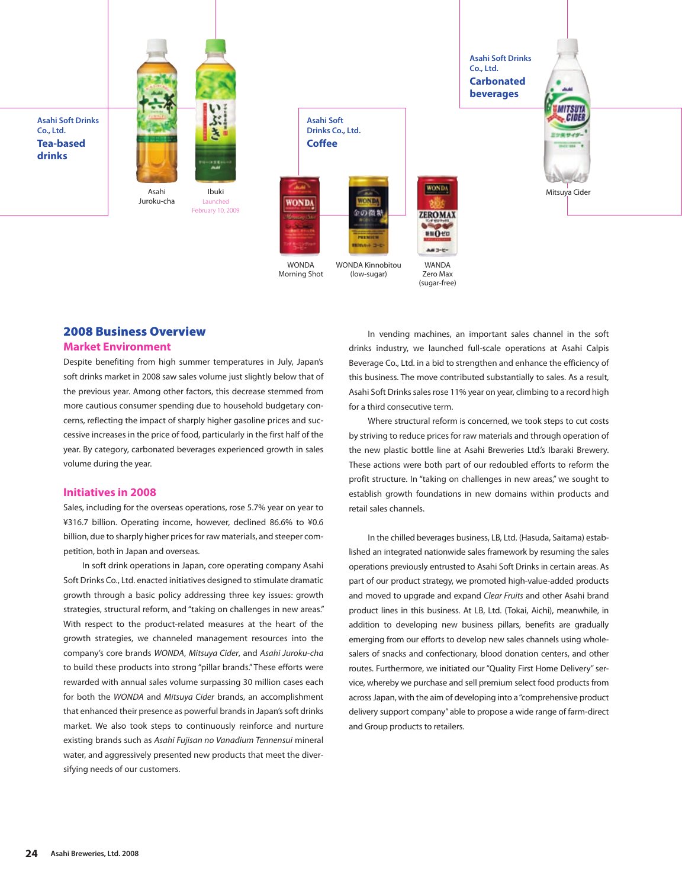

#### 2008 Business Overview

#### **Market Environment**

Despite benefiting from high summer temperatures in July, Japan's soft drinks market in 2008 saw sales volume just slightly below that of the previous year. Among other factors, this decrease stemmed from more cautious consumer spending due to household budgetary concerns, reflecting the impact of sharply higher gasoline prices and successive increases in the price of food, particularly in the first half of the year. By category, carbonated beverages experienced growth in sales volume during the year.

#### **Initiatives in 2008**

Sales, including for the overseas operations, rose 5.7% year on year to ¥316.7 billion. Operating income, however, declined 86.6% to ¥0.6 billion, due to sharply higher prices for raw materials, and steeper competition, both in Japan and overseas.

In soft drink operations in Japan, core operating company Asahi Soft Drinks Co., Ltd. enacted initiatives designed to stimulate dramatic growth through a basic policy addressing three key issues: growth strategies, structural reform, and "taking on challenges in new areas." With respect to the product-related measures at the heart of the growth strategies, we channeled management resources into the company's core brands *WONDA*, *Mitsuya Cider*, and *Asahi Juroku-cha* to build these products into strong "pillar brands." These efforts were rewarded with annual sales volume surpassing 30 million cases each for both the *WONDA* and *Mitsuya Cider* brands, an accomplishment that enhanced their presence as powerful brands in Japan's soft drinks market. We also took steps to continuously reinforce and nurture existing brands such as *Asahi Fujisan no Vanadium Tennensui* mineral water, and aggressively presented new products that meet the diversifying needs of our customers.

In vending machines, an important sales channel in the soft drinks industry, we launched full-scale operations at Asahi Calpis Beverage Co., Ltd. in a bid to strengthen and enhance the efficiency of this business. The move contributed substantially to sales. As a result, Asahi Soft Drinks sales rose 11% year on year, climbing to a record high for a third consecutive term.

Where structural reform is concerned, we took steps to cut costs by striving to reduce prices for raw materials and through operation of the new plastic bottle line at Asahi Breweries Ltd.'s Ibaraki Brewery. These actions were both part of our redoubled efforts to reform the profit structure. In "taking on challenges in new areas," we sought to establish growth foundations in new domains within products and retail sales channels.

In the chilled beverages business, LB, Ltd. (Hasuda, Saitama) established an integrated nationwide sales framework by resuming the sales operations previously entrusted to Asahi Soft Drinks in certain areas. As part of our product strategy, we promoted high-value-added products and moved to upgrade and expand *Clear Fruits* and other Asahi brand product lines in this business. At LB, Ltd. (Tokai, Aichi), meanwhile, in addition to developing new business pillars, benefits are gradually emerging from our efforts to develop new sales channels using wholesalers of snacks and confectionary, blood donation centers, and other routes. Furthermore, we initiated our "Quality First Home Delivery" service, whereby we purchase and sell premium select food products from across Japan, with the aim of developing into a "comprehensive product delivery support company" able to propose a wide range of farm-direct and Group products to retailers.